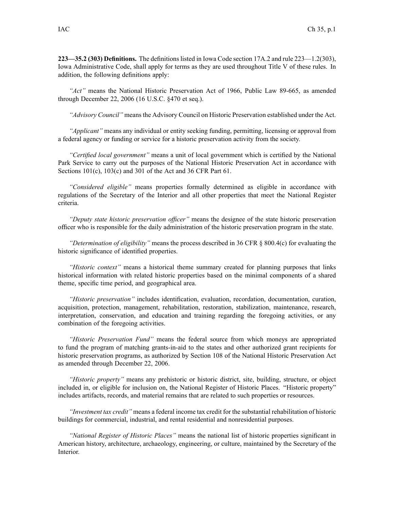**223—35.2 (303) Definitions.** The definitions listed in Iowa Code section 17A.2 and rule 223—1.2(303), Iowa Administrative Code, shall apply for terms as they are used throughout Title V of these rules. In addition, the following definitions apply:

*"Act"* means the National Historic Preservation Act of 1966, Public Law 89-665, as amended through December 22, 2006 (16 U.S.C. §470 et seq.).

*"Advisory Council"* meansthe Advisory Council on Historic Preservation established under the Act.

*"Applicant"* means any individual or entity seeking funding, permitting, licensing or approval from <sup>a</sup> federal agency or funding or service for <sup>a</sup> historic preservation activity from the society.

*"Certified local government"* means <sup>a</sup> unit of local governmen<sup>t</sup> which is certified by the National Park Service to carry out the purposes of the National Historic Preservation Act in accordance with Sections 101(c), 103(c) and 301 of the Act and 36 CFR Part 61.

*"Considered eligible"* means properties formally determined as eligible in accordance with regulations of the Secretary of the Interior and all other properties that meet the National Register criteria.

*"Deputy state historic preservation officer"* means the designee of the state historic preservation officer who is responsible for the daily administration of the historic preservation program in the state.

*"Determination of eligibility"* means the process described in 36 CFR § 800.4(c) for evaluating the historic significance of identified properties.

*"Historic context"* means <sup>a</sup> historical theme summary created for planning purposes that links historical information with related historic properties based on the minimal components of <sup>a</sup> shared theme, specific time period, and geographical area.

*"Historic preservation"* includes identification, evaluation, recordation, documentation, curation, acquisition, protection, management, rehabilitation, restoration, stabilization, maintenance, research, interpretation, conservation, and education and training regarding the foregoing activities, or any combination of the foregoing activities.

*"Historic Preservation Fund"* means the federal source from which moneys are appropriated to fund the program of matching grants-in-aid to the states and other authorized gran<sup>t</sup> recipients for historic preservation programs, as authorized by Section 108 of the National Historic Preservation Act as amended through December 22, 2006.

*"Historic property"* means any prehistoric or historic district, site, building, structure, or object included in, or eligible for inclusion on, the National Register of Historic Places. "Historic property" includes artifacts, records, and material remains that are related to such properties or resources.

*"Investment tax credit"* means <sup>a</sup> federal income tax credit for the substantial rehabilitation of historic buildings for commercial, industrial, and rental residential and nonresidential purposes.

*"National Register of Historic Places"* means the national list of historic properties significant in American history, architecture, archaeology, engineering, or culture, maintained by the Secretary of the Interior.